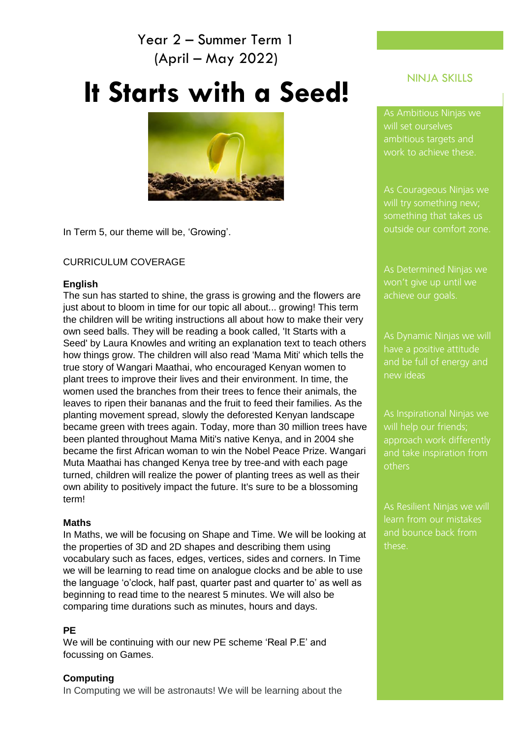## Year 2 – Summer Term 1 (April – May 2022)

# **It Starts with a Seed!**



In Term 5, our theme will be, 'Growing'.

## CURRICULUM COVERAGE

## **English**

The sun has started to shine, the grass is growing and the flowers are just about to bloom in time for our topic all about... growing! This term the children will be writing instructions all about how to make their very own seed balls. They will be reading a book called, 'It Starts with a Seed' by Laura Knowles and writing an explanation text to teach others how things grow. The children will also read 'Mama Miti' which tells the true story of Wangari Maathai, who encouraged Kenyan women to plant trees to improve their lives and their environment. In time, the women used the branches from their trees to fence their animals, the leaves to ripen their bananas and the fruit to feed their families. As the planting movement spread, slowly the deforested Kenyan landscape became green with trees again. Today, more than 30 million trees have been planted throughout Mama Miti's native Kenya, and in 2004 she became the first African woman to win the Nobel Peace Prize. Wangari Muta Maathai has changed Kenya tree by tree-and with each page turned, children will realize the power of planting trees as well as their own ability to positively impact the future. It's sure to be a blossoming term!

## **Maths**

In Maths, we will be focusing on Shape and Time. We will be looking at the properties of 3D and 2D shapes and describing them using vocabulary such as faces, edges, vertices, sides and corners. In Time we will be learning to read time on analogue clocks and be able to use the language 'o'clock, half past, quarter past and quarter to' as well as beginning to read time to the nearest 5 minutes. We will also be comparing time durations such as minutes, hours and days.

## **PE**

We will be continuing with our new PE scheme 'Real P.E' and focussing on Games.

## **Computing**

In Computing we will be astronauts! We will be learning about the

## NINJA SKILLS

As Ambitious Ninjas we will set ourselves ambitious targets and work to achieve these.

As Courageous Ninjas we something that takes us outside our comfort zone.

achieve our goals.

have a positive attitude and be full of energy and new ideas

will help our friends; approach work differently and take inspiration from others

As Resilient Ninjas we will learn from our mistakes and bounce back from these.